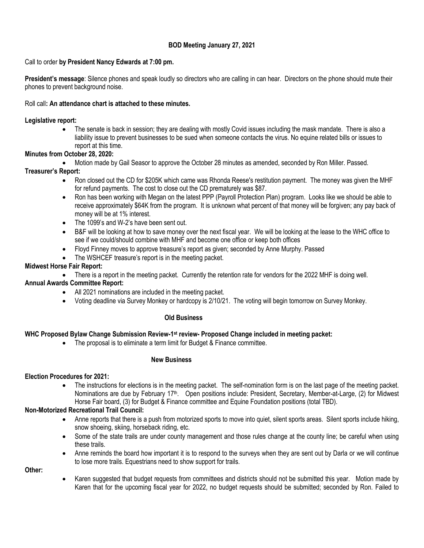## **BOD Meeting January 27, 2021**

### Call to order **by President Nancy Edwards at 7:00 pm.**

**President's message**: Silence phones and speak loudly so directors who are calling in can hear. Directors on the phone should mute their phones to prevent background noise.

### Roll call**: An attendance chart is attached to these minutes.**

### **Legislative report:**

• The senate is back in session; they are dealing with mostly Covid issues including the mask mandate. There is also a liability issue to prevent businesses to be sued when someone contacts the virus. No equine related bills or issues to report at this time.

### **Minutes from October 28, 2020:**

• Motion made by Gail Seasor to approve the October 28 minutes as amended, seconded by Ron Miller. Passed.

## **Treasurer's Report:**

- Ron closed out the CD for \$205K which came was Rhonda Reese's restitution payment. The money was given the MHF for refund payments. The cost to close out the CD prematurely was \$87.
- Ron has been working with Megan on the latest PPP (Payroll Protection Plan) program. Looks like we should be able to receive approximately \$64K from the program. It is unknown what percent of that money will be forgiven; any pay back of money will be at 1% interest.
- The 1099's and W-2's have been sent out.
- B&F will be looking at how to save money over the next fiscal year. We will be looking at the lease to the WHC office to see if we could/should combine with MHF and become one office or keep both offices
- Floyd Finney moves to approve treasure's report as given; seconded by Anne Murphy. Passed
- The WSHCEF treasure's report is in the meeting packet.

### **Midwest Horse Fair Report:**

• There is a report in the meeting packet. Currently the retention rate for vendors for the 2022 MHF is doing well.

## **Annual Awards Committee Report:**

- All 2021 nominations are included in the meeting packet.
- Voting deadline via Survey Monkey or hardcopy is 2/10/21. The voting will begin tomorrow on Survey Monkey.

#### **Old Business**

# **WHC Proposed Bylaw Change Submission Review-1 st review- Proposed Change included in meeting packet:**

• The proposal is to eliminate a term limit for Budget & Finance committee.

# **New Business**

# **Election Procedures for 2021:**

• The instructions for elections is in the meeting packet. The self-nomination form is on the last page of the meeting packet. Nominations are due by February 17<sup>th</sup>. Open positions include: President, Secretary, Member-at-Large, (2) for Midwest Horse Fair board, (3) for Budget & Finance committee and Equine Foundation positions (total TBD).

# **Non-Motorized Recreational Trail Council:**

- Anne reports that there is a push from motorized sports to move into quiet, silent sports areas. Silent sports include hiking, snow shoeing, skiing, horseback riding, etc.
- Some of the state trails are under county management and those rules change at the county line; be careful when using these trails.
- Anne reminds the board how important it is to respond to the surveys when they are sent out by Darla or we will continue to lose more trails. Equestrians need to show support for trails.

**Other:**

• Karen suggested that budget requests from committees and districts should not be submitted this year. Motion made by Karen that for the upcoming fiscal year for 2022, no budget requests should be submitted; seconded by Ron. Failed to